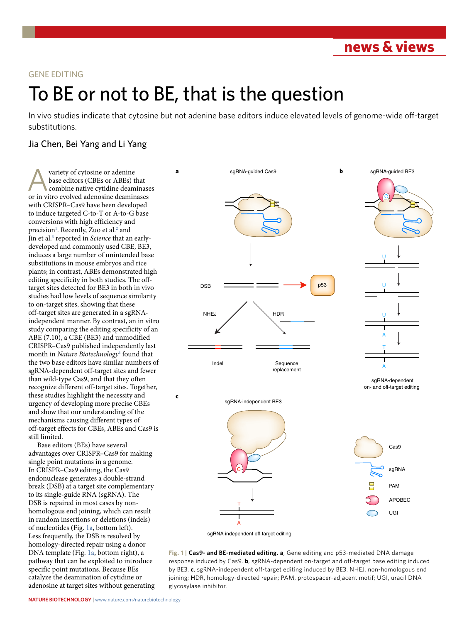**news & views**

### GENE EDITING

# To BE or not to BE, that is the question

In vivo studies indicate that cytosine but not adenine base editors induce elevated levels of genome-wide off-target substitutions.

## Jia Chen, Bei Yang and Li Yang

variety of cytosine or adenine base editors (CBEs or ABEs) that combine native cytidine deaminases or in vitro evolved adenosine deaminases with CRISPR–Cas9 have been developed to induce targeted C-to-T or A-to-G base conversions with high efficiency and precision<sup>1</sup>. Recently, Zuo et al.<sup>2</sup> and Jin et al.<sup>[3](#page-1-2)</sup> reported in *Science* that an earlydeveloped and commonly used CBE, BE3, induces a large number of unintended base substitutions in mouse embryos and rice plants; in contrast, ABEs demonstrated high editing specificity in both studies. The offtarget sites detected for BE3 in both in vivo studies had low levels of sequence similarity to on-target sites, showing that these off-target sites are generated in a sgRNAindependent manner. By contrast, an in vitro study comparing the editing specificity of an ABE (7.10), a CBE (BE3) and unmodified CRISPR–Cas9 published independently last month in *Nature Biotechnology*[4](#page-1-3) found that the two base editors have similar numbers of sgRNA-dependent off-target sites and fewer than wild-type Cas9, and that they often recognize different off-target sites. Together, these studies highlight the necessity and urgency of developing more precise CBEs and show that our understanding of the mechanisms causing different types of off-target effects for CBEs, ABEs and Cas9 is still limited.

Base editors (BEs) have several advantages over CRISPR–Cas9 for making single point mutations in a genome. In CRISPR–Cas9 editing, the Cas9 endonuclease generates a double-strand break (DSB) at a target site complementary to its single-guide RNA (sgRNA). The DSB is repaired in most cases by nonhomologous end joining, which can result in random insertions or deletions (indels) of nucleotides (Fig. [1a,](#page-0-0) bottom left). Less frequently, the DSB is resolved by homology-directed repair using a donor DNA template (Fig. [1a,](#page-0-0) bottom right), a pathway that can be exploited to introduce specific point mutations. Because BEs catalyze the deamination of cytidine or adenosine at target sites without generating



sgRNA-independent off-target editing

<span id="page-0-0"></span>**Fig. 1 | Cas9- and BE-mediated editing. a**, Gene editing and p53-mediated DNA damage response induced by Cas9. **b**, sgRNA-dependent on-target and off-target base editing induced by BE3. **c**, sgRNA-independent off-target editing induced by BE3. NHEJ, non-homologous end joining; HDR, homology-directed repair; PAM, protospacer-adjacent motif; UGI, uracil DNA glycosylase inhibitor.